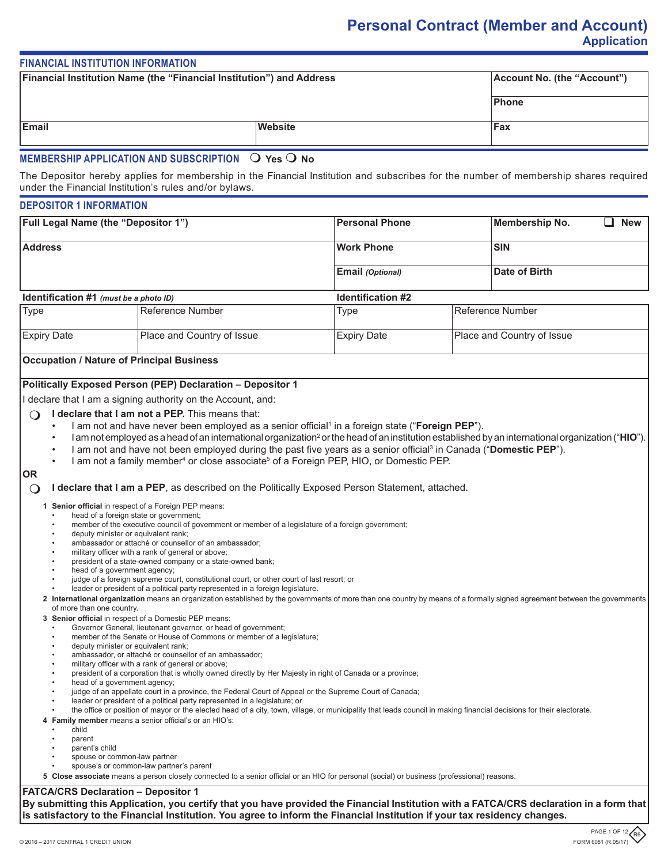# **Personal Contract (Member and Account) Application**

# **FINANCIAL INSTITUTION INFORMATION**

| <b>Financial Institution Name (the "Financial Institution") and Address</b> |         | Account No. (the "Account") |  |
|-----------------------------------------------------------------------------|---------|-----------------------------|--|
|                                                                             |         | Phone                       |  |
| Email                                                                       | Website | Fax                         |  |
| MEMRERSHIP ADDI ICATION AND SURSCRIPTION $\Omega$ Vos $\Omega$ No.          |         |                             |  |

# **MEMBERSHIP APPLICATION AND SUBSCRIPTION**  $\;\cup\;$  **Yes**  $\;\cup\;$  **No**

The Depositor hereby applies for membership in the Financial Institution and subscribes for the number of membership shares required under the Financial Institution's rules and/or bylaws.

# **DEPOSITOR 1 INFORMATION**

| <b>Full Legal Name (the "Depositor 1")</b> | <b>Personal Phone</b> | <b>New</b><br>Membership No. |  |
|--------------------------------------------|-----------------------|------------------------------|--|
| <b>Address</b>                             | <b>Work Phone</b>     | <b>SIN</b>                   |  |
|                                            | Email (Optional)      | Date of Birth                |  |

# **Identification #1** *(must be a photo ID)* **Identification #2**

| <b>Type</b>        | Reference Number           | Гуре               | Reference Number           |
|--------------------|----------------------------|--------------------|----------------------------|
| <b>Expiry Date</b> | Place and Country of Issue | <b>Expiry Date</b> | Place and Country of Issue |

# **Occupation / Nature of Principal Business**

# **Politically Exposed Person (PEP) Declaration – Depositor 1**

I declare that I am a signing authority on the Account, and:

# $\bigcap$  **I declare that I am not a PEP.** This means that:

- I am not and have never been employed as a senior official<sup>1</sup> in a foreign state ("**Foreign PEP**").
- I am not employed as a head of an international organization<sup>2</sup> or the head of an institution established by an international organization ("**HIO**").
- I am not and have not been employed during the past five years as a senior official<sup>3</sup> in Canada ("**Domestic PEP**").
- I am not a family member $^4$  or close associate $^5$  of a Foreign PEP, HIO, or Domestic PEP.

### **OR**

**I declare that I am a PEP**, as described on the Politically Exposed Person Statement, attached.

**1 Senior official** in respect of a Foreign PEP means:

- head of a foreign state or government;
- member of the executive council of government or member of a legislature of a foreign government;
- deputy minister or equivalent rank;
- ambassador or attaché or counsellor of an ambassador;
- military officer with a rank of general or above; president of a state-owned company or a state-owned bank;
- head of a government agency;
- judge of a foreign supreme court, constitutional court, or other court of last resort; or
- leader or president of a political party represented in a foreign legislature.
- **2 International organization** means an organization established by the governments of more than one country by means of a formally signed agreement between the governments of more than one country.
- **3 Senior official** in respect of a Domestic PEP means:
	- Governor General, lieutenant governor, or head of government;
	- member of the Senate or House of Commons or member of a legislature;
	- deputy minister or equivalent rank:
	- ambassador, or attaché or counsellor of an ambassador;
	- military officer with a rank of general or above;
	- president of a corporation that is wholly owned directly by Her Majesty in right of Canada or a province;
	- head of a government agency;
	- judge of an appellate court in a province, the Federal Court of Appeal or the Supreme Court of Canada;
	- leader or president of a political party represented in a legislature; or
- the office or position of mayor or the elected head of a city, town, village, or municipality that leads council in making financial decisions for their electorate. **4 Family member** means a senior official's or an HIO's:
- child
- parent
- parent's child
- spouse or common-law partner
- spouse's or common-law partner's parent

**5 Close associate** means a person closely connected to a senior official or an HIO for personal (social) or business (professional) reasons.

# **FATCA/CRS Declaration – Depositor 1**

**By submitting this Application, you certify that you have provided the Financial Institution with a FATCA/CRS declaration in a form that is satisfactory to the Financial Institution. You agree to inform the Financial Institution if your tax residency changes.**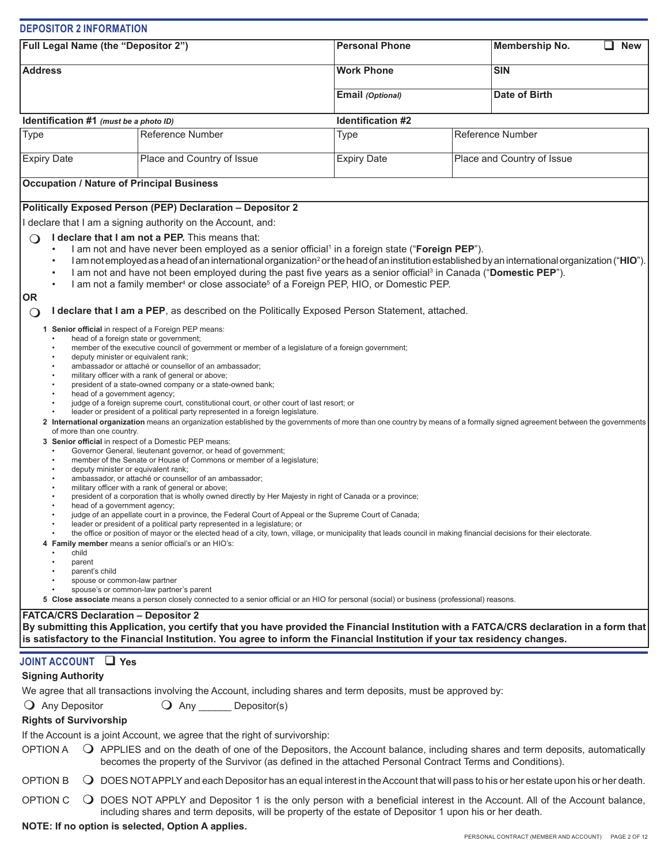|                                                                                                                                                                                                                                                                               | <b>DEPOSITOR 2 INFORMATION</b>                                                                                                                                                                                                               |                                                                                                                                                                                                                                                                                                                                                                                                                                                                                                                                                                                                                                                                                                                                                                                                                                                                                                                                                                                                                                                                                                                                                                                                                                                                                                                                                                                                                                                                                                                                                                                                                                                                                                                                                                                                                                            |                   |                            |                      |  |
|-------------------------------------------------------------------------------------------------------------------------------------------------------------------------------------------------------------------------------------------------------------------------------|----------------------------------------------------------------------------------------------------------------------------------------------------------------------------------------------------------------------------------------------|--------------------------------------------------------------------------------------------------------------------------------------------------------------------------------------------------------------------------------------------------------------------------------------------------------------------------------------------------------------------------------------------------------------------------------------------------------------------------------------------------------------------------------------------------------------------------------------------------------------------------------------------------------------------------------------------------------------------------------------------------------------------------------------------------------------------------------------------------------------------------------------------------------------------------------------------------------------------------------------------------------------------------------------------------------------------------------------------------------------------------------------------------------------------------------------------------------------------------------------------------------------------------------------------------------------------------------------------------------------------------------------------------------------------------------------------------------------------------------------------------------------------------------------------------------------------------------------------------------------------------------------------------------------------------------------------------------------------------------------------------------------------------------------------------------------------------------------------|-------------------|----------------------------|----------------------|--|
| Full Legal Name (the "Depositor 2")                                                                                                                                                                                                                                           |                                                                                                                                                                                                                                              | <b>Personal Phone</b>                                                                                                                                                                                                                                                                                                                                                                                                                                                                                                                                                                                                                                                                                                                                                                                                                                                                                                                                                                                                                                                                                                                                                                                                                                                                                                                                                                                                                                                                                                                                                                                                                                                                                                                                                                                                                      |                   |                            | <b>New</b>           |  |
| <b>Address</b>                                                                                                                                                                                                                                                                |                                                                                                                                                                                                                                              | <b>Work Phone</b>                                                                                                                                                                                                                                                                                                                                                                                                                                                                                                                                                                                                                                                                                                                                                                                                                                                                                                                                                                                                                                                                                                                                                                                                                                                                                                                                                                                                                                                                                                                                                                                                                                                                                                                                                                                                                          |                   | <b>SIN</b>                 |                      |  |
|                                                                                                                                                                                                                                                                               |                                                                                                                                                                                                                                              |                                                                                                                                                                                                                                                                                                                                                                                                                                                                                                                                                                                                                                                                                                                                                                                                                                                                                                                                                                                                                                                                                                                                                                                                                                                                                                                                                                                                                                                                                                                                                                                                                                                                                                                                                                                                                                            | Email (Optional)  |                            | <b>Date of Birth</b> |  |
|                                                                                                                                                                                                                                                                               | Identification #1 (must be a photo ID)                                                                                                                                                                                                       |                                                                                                                                                                                                                                                                                                                                                                                                                                                                                                                                                                                                                                                                                                                                                                                                                                                                                                                                                                                                                                                                                                                                                                                                                                                                                                                                                                                                                                                                                                                                                                                                                                                                                                                                                                                                                                            | Identification #2 |                            |                      |  |
| Type                                                                                                                                                                                                                                                                          |                                                                                                                                                                                                                                              | <b>Reference Number</b>                                                                                                                                                                                                                                                                                                                                                                                                                                                                                                                                                                                                                                                                                                                                                                                                                                                                                                                                                                                                                                                                                                                                                                                                                                                                                                                                                                                                                                                                                                                                                                                                                                                                                                                                                                                                                    | <b>Type</b>       |                            | Reference Number     |  |
| <b>Expiry Date</b><br>Place and Country of Issue                                                                                                                                                                                                                              |                                                                                                                                                                                                                                              | <b>Expiry Date</b>                                                                                                                                                                                                                                                                                                                                                                                                                                                                                                                                                                                                                                                                                                                                                                                                                                                                                                                                                                                                                                                                                                                                                                                                                                                                                                                                                                                                                                                                                                                                                                                                                                                                                                                                                                                                                         |                   | Place and Country of Issue |                      |  |
|                                                                                                                                                                                                                                                                               |                                                                                                                                                                                                                                              | <b>Occupation / Nature of Principal Business</b>                                                                                                                                                                                                                                                                                                                                                                                                                                                                                                                                                                                                                                                                                                                                                                                                                                                                                                                                                                                                                                                                                                                                                                                                                                                                                                                                                                                                                                                                                                                                                                                                                                                                                                                                                                                           |                   |                            |                      |  |
|                                                                                                                                                                                                                                                                               |                                                                                                                                                                                                                                              | Politically Exposed Person (PEP) Declaration - Depositor 2                                                                                                                                                                                                                                                                                                                                                                                                                                                                                                                                                                                                                                                                                                                                                                                                                                                                                                                                                                                                                                                                                                                                                                                                                                                                                                                                                                                                                                                                                                                                                                                                                                                                                                                                                                                 |                   |                            |                      |  |
|                                                                                                                                                                                                                                                                               |                                                                                                                                                                                                                                              | I declare that I am a signing authority on the Account, and:                                                                                                                                                                                                                                                                                                                                                                                                                                                                                                                                                                                                                                                                                                                                                                                                                                                                                                                                                                                                                                                                                                                                                                                                                                                                                                                                                                                                                                                                                                                                                                                                                                                                                                                                                                               |                   |                            |                      |  |
| ٠<br>٠                                                                                                                                                                                                                                                                        |                                                                                                                                                                                                                                              | I declare that I am not a PEP. This means that:<br>I am not and have never been employed as a senior official <sup>1</sup> in a foreign state ("Foreign PEP").<br>I am not employed as a head of an international organization <sup>2</sup> or the head of an institution established by an international organization ("HIO").<br>I am not and have not been employed during the past five years as a senior official <sup>3</sup> in Canada ("Domestic PEP").<br>I am not a family member <sup>4</sup> or close associate <sup>5</sup> of a Foreign PEP, HIO, or Domestic PEP.                                                                                                                                                                                                                                                                                                                                                                                                                                                                                                                                                                                                                                                                                                                                                                                                                                                                                                                                                                                                                                                                                                                                                                                                                                                           |                   |                            |                      |  |
| <b>OR</b><br>$\circ$                                                                                                                                                                                                                                                          |                                                                                                                                                                                                                                              | I declare that I am a PEP, as described on the Politically Exposed Person Statement, attached.                                                                                                                                                                                                                                                                                                                                                                                                                                                                                                                                                                                                                                                                                                                                                                                                                                                                                                                                                                                                                                                                                                                                                                                                                                                                                                                                                                                                                                                                                                                                                                                                                                                                                                                                             |                   |                            |                      |  |
|                                                                                                                                                                                                                                                                               | deputy minister or equivalent rank;<br>head of a government agency;<br>of more than one country.<br>deputy minister or equivalent rank;<br>head of a government agency;<br>child<br>parent<br>parent's child<br>spouse or common-law partner | 1 Senior official in respect of a Foreign PEP means:<br>head of a foreign state or government;<br>member of the executive council of government or member of a legislature of a foreign government;<br>ambassador or attaché or counsellor of an ambassador;<br>military officer with a rank of general or above;<br>president of a state-owned company or a state-owned bank;<br>judge of a foreign supreme court, constitutional court, or other court of last resort; or<br>leader or president of a political party represented in a foreign legislature.<br>2 International organization means an organization established by the governments of more than one country by means of a formally signed agreement between the governments<br>3 Senior official in respect of a Domestic PEP means:<br>Governor General, lieutenant governor, or head of government;<br>member of the Senate or House of Commons or member of a legislature;<br>ambassador, or attaché or counsellor of an ambassador;<br>military officer with a rank of general or above;<br>president of a corporation that is wholly owned directly by Her Majesty in right of Canada or a province;<br>judge of an appellate court in a province, the Federal Court of Appeal or the Supreme Court of Canada;<br>leader or president of a political party represented in a legislature; or<br>the office or position of mayor or the elected head of a city, town, village, or municipality that leads council in making financial decisions for their electorate.<br>4 Family member means a senior official's or an HIO's:<br>spouse's or common-law partner's parent<br>5 Close associate means a person closely connected to a senior official or an HIO for personal (social) or business (professional) reasons.<br><b>FATCA/CRS Declaration - Depositor 2</b> |                   |                            |                      |  |
|                                                                                                                                                                                                                                                                               |                                                                                                                                                                                                                                              | By submitting this Application, you certify that you have provided the Financial Institution with a FATCA/CRS declaration in a form that<br>is satisfactory to the Financial Institution. You agree to inform the Financial Institution if your tax residency changes.                                                                                                                                                                                                                                                                                                                                                                                                                                                                                                                                                                                                                                                                                                                                                                                                                                                                                                                                                                                                                                                                                                                                                                                                                                                                                                                                                                                                                                                                                                                                                                     |                   |                            |                      |  |
| <b>Signing Authority</b><br>$\bigcirc$ Any Depositor<br><b>Rights of Survivorship</b><br><b>OPTION A</b>                                                                                                                                                                      | JOINT ACCOUNT Thes                                                                                                                                                                                                                           | We agree that all transactions involving the Account, including shares and term deposits, must be approved by:<br>O Any _______ Depositor(s)<br>If the Account is a joint Account, we agree that the right of survivorship:<br>O APPLIES and on the death of one of the Depositors, the Account balance, including shares and term deposits, automatically                                                                                                                                                                                                                                                                                                                                                                                                                                                                                                                                                                                                                                                                                                                                                                                                                                                                                                                                                                                                                                                                                                                                                                                                                                                                                                                                                                                                                                                                                 |                   |                            |                      |  |
| <b>OPTION B</b>                                                                                                                                                                                                                                                               |                                                                                                                                                                                                                                              | becomes the property of the Survivor (as defined in the attached Personal Contract Terms and Conditions).                                                                                                                                                                                                                                                                                                                                                                                                                                                                                                                                                                                                                                                                                                                                                                                                                                                                                                                                                                                                                                                                                                                                                                                                                                                                                                                                                                                                                                                                                                                                                                                                                                                                                                                                  |                   |                            |                      |  |
| O DOES NOT APPLY and each Depositor has an equal interest in the Account that will pass to his or her estate upon his or her death.<br>OPTION C<br>O DOES NOT APPLY and Depositor 1 is the only person with a beneficial interest in the Account. All of the Account balance, |                                                                                                                                                                                                                                              |                                                                                                                                                                                                                                                                                                                                                                                                                                                                                                                                                                                                                                                                                                                                                                                                                                                                                                                                                                                                                                                                                                                                                                                                                                                                                                                                                                                                                                                                                                                                                                                                                                                                                                                                                                                                                                            |                   |                            |                      |  |

including shares and term deposits, will be property of the estate of Depositor 1 upon his or her death.

**NOTE: If no option is selected, Option A applies.**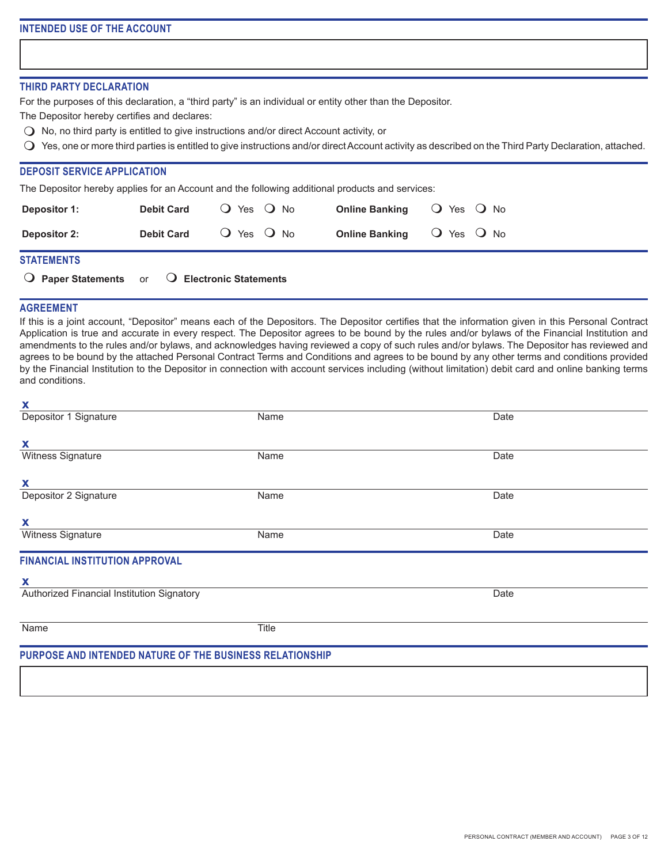### **THIRD PARTY DECLARATION**

For the purposes of this declaration, a "third party" is an individual or entity other than the Depositor.

The Depositor hereby certifies and declares:

- $\bigcirc$  No, no third party is entitled to give instructions and/or direct Account activity, or
- $\bigcirc$  Yes, one or more third parties is entitled to give instructions and/or direct Account activity as described on the Third Party Declaration, attached.

## **DEPOSIT SERVICE APPLICATION**

The Depositor hereby applies for an Account and the following additional products and services:

| <b>Depositor 1:</b>                                                     | <b>Debit Card</b> | $O$ Yes $O$ No |                       | <b>Online Banking</b> $\bigcirc$ Yes $\bigcirc$ No |  |
|-------------------------------------------------------------------------|-------------------|----------------|-----------------------|----------------------------------------------------|--|
| <b>Depositor 2:</b>                                                     | <b>Debit Card</b> | $O$ Yes $O$ No | <b>Online Banking</b> | $\bigcirc$ Yes $\bigcirc$ No                       |  |
| <b>STATEMENTS</b>                                                       |                   |                |                       |                                                    |  |
| $\overline{O}$ Paper Statements or $\overline{O}$ Electronic Statements |                   |                |                       |                                                    |  |

### **AGREEMENT**

If this is a joint account, "Depositor" means each of the Depositors. The Depositor certifies that the information given in this Personal Contract Application is true and accurate in every respect. The Depositor agrees to be bound by the rules and/or bylaws of the Financial Institution and amendments to the rules and/or bylaws, and acknowledges having reviewed a copy of such rules and/or bylaws. The Depositor has reviewed and agrees to be bound by the attached Personal Contract Terms and Conditions and agrees to be bound by any other terms and conditions provided by the Financial Institution to the Depositor in connection with account services including (without limitation) debit card and online banking terms and conditions.

| X                                                        |       |      |  |
|----------------------------------------------------------|-------|------|--|
| Depositor 1 Signature                                    | Name  | Date |  |
| X                                                        |       |      |  |
| Witness Signature                                        | Name  | Date |  |
| X                                                        |       |      |  |
| Depositor 2 Signature                                    | Name  | Date |  |
| X                                                        |       |      |  |
| Witness Signature                                        | Name  | Date |  |
| <b>FINANCIAL INSTITUTION APPROVAL</b>                    |       |      |  |
| X                                                        |       |      |  |
| Authorized Financial Institution Signatory               |       | Date |  |
| Name                                                     | Title |      |  |
| PURPOSE AND INTENDED NATURE OF THE BUSINESS RELATIONSHIP |       |      |  |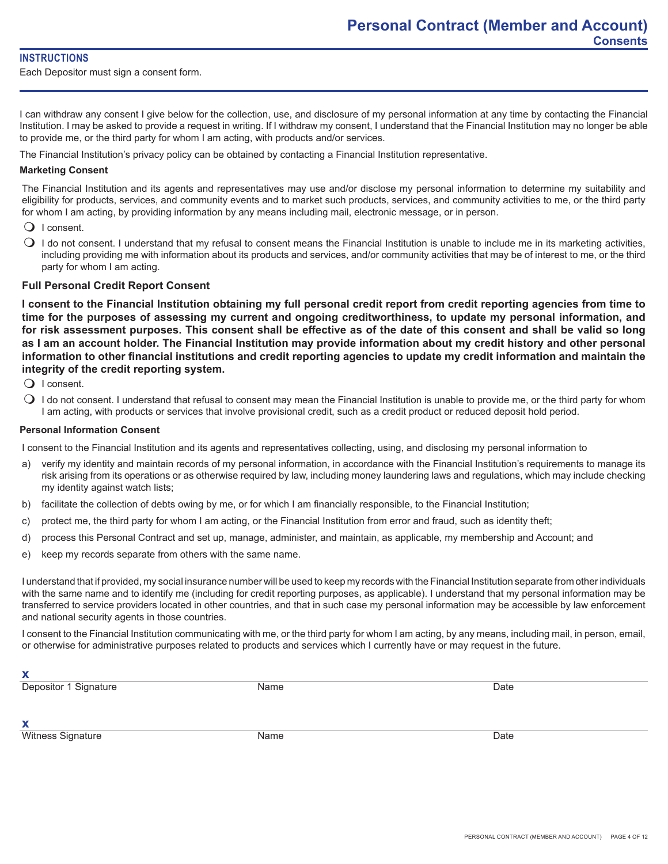## **INSTRUCTIONS**

Each Depositor must sign a consent form.

I can withdraw any consent I give below for the collection, use, and disclosure of my personal information at any time by contacting the Financial Institution. I may be asked to provide a request in writing. If I withdraw my consent, I understand that the Financial Institution may no longer be able to provide me, or the third party for whom I am acting, with products and/or services.

The Financial Institution's privacy policy can be obtained by contacting a Financial Institution representative.

## **Marketing Consent**

The Financial Institution and its agents and representatives may use and/or disclose my personal information to determine my suitability and eligibility for products, services, and community events and to market such products, services, and community activities to me, or the third party for whom I am acting, by providing information by any means including mail, electronic message, or in person.

- $\bigcirc$  I consent.
- $\bigcirc$  I do not consent. I understand that my refusal to consent means the Financial Institution is unable to include me in its marketing activities, including providing me with information about its products and services, and/or community activities that may be of interest to me, or the third party for whom I am acting.

# **Full Personal Credit Report Consent**

**I consent to the Financial Institution obtaining my full personal credit report from credit reporting agencies from time to time for the purposes of assessing my current and ongoing creditworthiness, to update my personal information, and for risk assessment purposes. This consent shall be effective as of the date of this consent and shall be valid so long as I am an account holder. The Financial Institution may provide information about my credit history and other personal information to other financial institutions and credit reporting agencies to update my credit information and maintain the integrity of the credit reporting system.**

- $\bigcirc$  I consent.
- $\bigcirc$  I do not consent. I understand that refusal to consent may mean the Financial Institution is unable to provide me, or the third party for whom I am acting, with products or services that involve provisional credit, such as a credit product or reduced deposit hold period.

### **Personal Information Consent**

I consent to the Financial Institution and its agents and representatives collecting, using, and disclosing my personal information to

- a) verify my identity and maintain records of my personal information, in accordance with the Financial Institution's requirements to manage its risk arising from its operations or as otherwise required by law, including money laundering laws and regulations, which may include checking my identity against watch lists;
- b) facilitate the collection of debts owing by me, or for which I am financially responsible, to the Financial Institution;
- c) protect me, the third party for whom I am acting, or the Financial Institution from error and fraud, such as identity theft;
- d) process this Personal Contract and set up, manage, administer, and maintain, as applicable, my membership and Account; and
- e) keep my records separate from others with the same name.

I understand that if provided, my social insurance number will be used to keep my records with the Financial Institution separate from other individuals with the same name and to identify me (including for credit reporting purposes, as applicable). I understand that my personal information may be transferred to service providers located in other countries, and that in such case my personal information may be accessible by law enforcement and national security agents in those countries.

I consent to the Financial Institution communicating with me, or the third party for whom I am acting, by any means, including mail, in person, email, or otherwise for administrative purposes related to products and services which I currently have or may request in the future.

**x**

**Depositor 1 Signature Community Community Community Community Community Community Community Community Community Community Community Community Community Community Community Community Community Community Community Community** 

**x** Witness Signature **Name** Name **Name Name Date Date Date**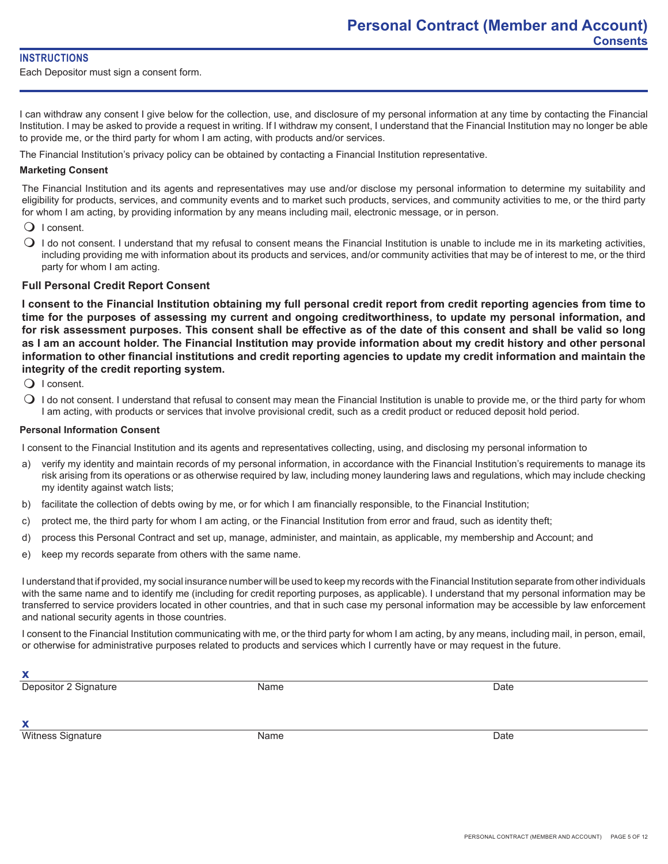## **INSTRUCTIONS**

Each Depositor must sign a consent form.

I can withdraw any consent I give below for the collection, use, and disclosure of my personal information at any time by contacting the Financial Institution. I may be asked to provide a request in writing. If I withdraw my consent, I understand that the Financial Institution may no longer be able to provide me, or the third party for whom I am acting, with products and/or services.

The Financial Institution's privacy policy can be obtained by contacting a Financial Institution representative.

## **Marketing Consent**

The Financial Institution and its agents and representatives may use and/or disclose my personal information to determine my suitability and eligibility for products, services, and community events and to market such products, services, and community activities to me, or the third party for whom I am acting, by providing information by any means including mail, electronic message, or in person.

- $\bigcirc$  I consent.
- $\bigcirc$  I do not consent. I understand that my refusal to consent means the Financial Institution is unable to include me in its marketing activities, including providing me with information about its products and services, and/or community activities that may be of interest to me, or the third party for whom I am acting.

# **Full Personal Credit Report Consent**

**I consent to the Financial Institution obtaining my full personal credit report from credit reporting agencies from time to time for the purposes of assessing my current and ongoing creditworthiness, to update my personal information, and for risk assessment purposes. This consent shall be effective as of the date of this consent and shall be valid so long as I am an account holder. The Financial Institution may provide information about my credit history and other personal information to other financial institutions and credit reporting agencies to update my credit information and maintain the integrity of the credit reporting system.**

- $\bigcirc$  I consent.
- $\bigcirc$  I do not consent. I understand that refusal to consent may mean the Financial Institution is unable to provide me, or the third party for whom I am acting, with products or services that involve provisional credit, such as a credit product or reduced deposit hold period.

### **Personal Information Consent**

I consent to the Financial Institution and its agents and representatives collecting, using, and disclosing my personal information to

- a) verify my identity and maintain records of my personal information, in accordance with the Financial Institution's requirements to manage its risk arising from its operations or as otherwise required by law, including money laundering laws and regulations, which may include checking my identity against watch lists;
- b) facilitate the collection of debts owing by me, or for which I am financially responsible, to the Financial Institution;
- c) protect me, the third party for whom I am acting, or the Financial Institution from error and fraud, such as identity theft;
- d) process this Personal Contract and set up, manage, administer, and maintain, as applicable, my membership and Account; and
- e) keep my records separate from others with the same name.

I understand that if provided, my social insurance number will be used to keep my records with the Financial Institution separate from other individuals with the same name and to identify me (including for credit reporting purposes, as applicable). I understand that my personal information may be transferred to service providers located in other countries, and that in such case my personal information may be accessible by law enforcement and national security agents in those countries.

I consent to the Financial Institution communicating with me, or the third party for whom I am acting, by any means, including mail, in person, email, or otherwise for administrative purposes related to products and services which I currently have or may request in the future.

**x**

**Depositor 2 Signature Community Community Community Community Community Community Community Community Community Community Community Community Community Community Community Community Community Community Community Community** 

**x**

Witness Signature **Name** Name **Name Name Date Date Date**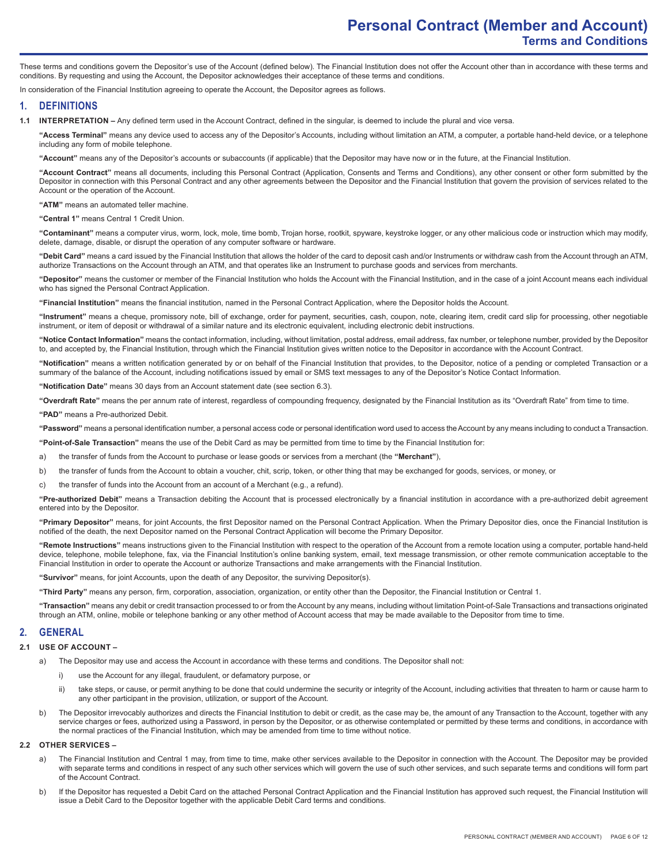These terms and conditions govern the Depositor's use of the Account (defined below). The Financial Institution does not offer the Account other than in accordance with these terms and conditions. By requesting and using the Account, the Depositor acknowledges their acceptance of these terms and conditions.

In consideration of the Financial Institution agreeing to operate the Account, the Depositor agrees as follows.

### **1. DEFINITIONS**

**1.1 INTERPRETATION –** Any defined term used in the Account Contract, defined in the singular, is deemed to include the plural and vice versa.

**"Access Terminal"** means any device used to access any of the Depositor's Accounts, including without limitation an ATM, a computer, a portable hand-held device, or a telephone including any form of mobile telephone.

**"Account"** means any of the Depositor's accounts or subaccounts (if applicable) that the Depositor may have now or in the future, at the Financial Institution.

**"Account Contract"** means all documents, including this Personal Contract (Application, Consents and Terms and Conditions), any other consent or other form submitted by the Depositor in connection with this Personal Contract and any other agreements between the Depositor and the Financial Institution that govern the provision of services related to the Account or the operation of the Account.

**"ATM"** means an automated teller machine.

**"Central 1"** means Central 1 Credit Union.

**"Contaminant"** means a computer virus, worm, lock, mole, time bomb, Trojan horse, rootkit, spyware, keystroke logger, or any other malicious code or instruction which may modify, delete, damage, disable, or disrupt the operation of any computer software or hardware.

**"Debit Card"** means a card issued by the Financial Institution that allows the holder of the card to deposit cash and/or Instruments or withdraw cash from the Account through an ATM, authorize Transactions on the Account through an ATM, and that operates like an Instrument to purchase goods and services from merchants.

**"Depositor"** means the customer or member of the Financial Institution who holds the Account with the Financial Institution, and in the case of a joint Account means each individual who has signed the Personal Contract Application.

**"Financial Institution"** means the financial institution, named in the Personal Contract Application, where the Depositor holds the Account.

**"Instrument"** means a cheque, promissory note, bill of exchange, order for payment, securities, cash, coupon, note, clearing item, credit card slip for processing, other negotiable instrument, or item of deposit or withdrawal of a similar nature and its electronic equivalent, including electronic debit instructions.

**"Notice Contact Information"** means the contact information, including, without limitation, postal address, email address, fax number, or telephone number, provided by the Depositor to, and accepted by, the Financial Institution, through which the Financial Institution gives written notice to the Depositor in accordance with the Account Contract.

**"Notification"** means a written notification generated by or on behalf of the Financial Institution that provides, to the Depositor, notice of a pending or completed Transaction or a summary of the balance of the Account, including notifications issued by email or SMS text messages to any of the Depositor's Notice Contact Information.

**"Notification Date"** means 30 days from an Account statement date (see section 6.3).

**"Overdraft Rate"** means the per annum rate of interest, regardless of compounding frequency, designated by the Financial Institution as its "Overdraft Rate" from time to time.

**"PAD"** means a Pre-authorized Debit.

**"Password"** means a personal identification number, a personal access code or personal identification word used to access the Account by any means including to conduct a Transaction.

**"Point-of-Sale Transaction"** means the use of the Debit Card as may be permitted from time to time by the Financial Institution for:

a) the transfer of funds from the Account to purchase or lease goods or services from a merchant (the **"Merchant"**),

- b) the transfer of funds from the Account to obtain a voucher, chit, scrip, token, or other thing that may be exchanged for goods, services, or money, or
- c) the transfer of funds into the Account from an account of a Merchant (e.g., a refund).

**"Pre-authorized Debit"** means a Transaction debiting the Account that is processed electronically by a financial institution in accordance with a pre-authorized debit agreement entered into by the Depositor.

**"Primary Depositor"** means, for joint Accounts, the first Depositor named on the Personal Contract Application. When the Primary Depositor dies, once the Financial Institution is notified of the death, the next Depositor named on the Personal Contract Application will become the Primary Depositor.

**"Remote Instructions"** means instructions given to the Financial Institution with respect to the operation of the Account from a remote location using a computer, portable hand-held device, telephone, mobile telephone, fax, via the Financial Institution's online banking system, email, text message transmission, or other remote communication acceptable to the Financial Institution in order to operate the Account or authorize Transactions and make arrangements with the Financial Institution.

**"Survivor"** means, for joint Accounts, upon the death of any Depositor, the surviving Depositor(s).

**"Third Party"** means any person, firm, corporation, association, organization, or entity other than the Depositor, the Financial Institution or Central 1.

**"Transaction"** means any debit or credit transaction processed to or from the Account by any means, including without limitation Point-of-Sale Transactions and transactions originated through an ATM, online, mobile or telephone banking or any other method of Account access that may be made available to the Depositor from time to time.

#### **2. GENERAL**

#### **2.1 USE OF ACCOUNT –**

- a) The Depositor may use and access the Account in accordance with these terms and conditions. The Depositor shall not:
	- i) use the Account for any illegal, fraudulent, or defamatory purpose, or
	- ii) take steps, or cause, or permit anything to be done that could undermine the security or integrity of the Account, including activities that threaten to harm or cause harm to any other participant in the provision, utilization, or support of the Account.
- b) The Depositor irrevocably authorizes and directs the Financial Institution to debit or credit, as the case may be, the amount of any Transaction to the Account, together with any service charges or fees, authorized using a Password, in person by the Depositor, or as otherwise contemplated or permitted by these terms and conditions, in accordance with the normal practices of the Financial Institution, which may be amended from time to time without notice.

#### **2.2 OTHER SERVICES –**

- a) The Financial Institution and Central 1 may, from time to time, make other services available to the Depositor in connection with the Account. The Depositor may be provided with separate terms and conditions in respect of any such other services which will govern the use of such other services, and such separate terms and conditions will form part of the Account Contract.
- b) If the Depositor has requested a Debit Card on the attached Personal Contract Application and the Financial Institution has approved such request, the Financial Institution will issue a Debit Card to the Depositor together with the applicable Debit Card terms and conditions.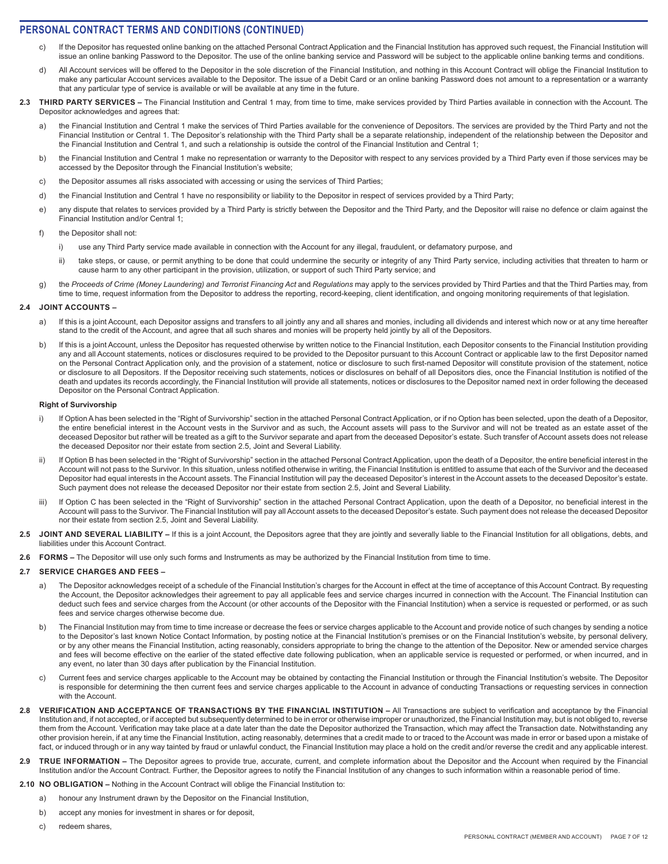- c) If the Depositor has requested online banking on the attached Personal Contract Application and the Financial Institution has approved such request, the Financial Institution will issue an online banking Password to the Depositor. The use of the online banking service and Password will be subject to the applicable online banking terms and conditions.
- d) All Account services will be offered to the Depositor in the sole discretion of the Financial Institution, and nothing in this Account Contract will oblige the Financial Institution to make any particular Account services available to the Depositor. The issue of a Debit Card or an online banking Password does not amount to a representation or a warranty that any particular type of service is available or will be available at any time in the future.
- 2.3 THIRD PARTY SERVICES The Financial Institution and Central 1 may, from time to time, make services provided by Third Parties available in connection with the Account. The Depositor acknowledges and agrees that:
	- the Financial Institution and Central 1 make the services of Third Parties available for the convenience of Depositors. The services are provided by the Third Party and not the Financial Institution or Central 1. The Depositor's relationship with the Third Party shall be a separate relationship, independent of the relationship between the Depositor and the Financial Institution and Central 1, and such a relationship is outside the control of the Financial Institution and Central 1;
	- b) the Financial Institution and Central 1 make no representation or warranty to the Depositor with respect to any services provided by a Third Party even if those services may be accessed by the Depositor through the Financial Institution's website;
	- c) the Depositor assumes all risks associated with accessing or using the services of Third Parties;
	- d) the Financial Institution and Central 1 have no responsibility or liability to the Depositor in respect of services provided by a Third Party;
	- e) any dispute that relates to services provided by a Third Party is strictly between the Depositor and the Third Party, and the Depositor will raise no defence or claim against the Financial Institution and/or Central 1;
	- f) the Depositor shall not:
		- i) use any Third Party service made available in connection with the Account for any illegal, fraudulent, or defamatory purpose, and
		- ii) take steps, or cause, or permit anything to be done that could undermine the security or integrity of any Third Party service, including activities that threaten to harm or cause harm to any other participant in the provision, utilization, or support of such Third Party service; and
	- g) the *Proceeds of Crime (Money Laundering) and Terrorist Financing Act* and *Regulations* may apply to the services provided by Third Parties and that the Third Parties may, from time to time, request information from the Depositor to address the reporting, record-keeping, client identification, and ongoing monitoring requirements of that legislation.

#### **2.4 JOINT ACCOUNTS –**

- a) If this is a joint Account, each Depositor assigns and transfers to all jointly any and all shares and monies, including all dividends and interest which now or at any time hereafter stand to the credit of the Account, and agree that all such shares and monies will be property held jointly by all of the Depositors.
- b) If this is a joint Account, unless the Depositor has requested otherwise by written notice to the Financial Institution, each Depositor consents to the Financial Institution providing any and all Account statements, notices or disclosures required to be provided to the Depositor pursuant to this Account Contract or applicable law to the first Depositor named on the Personal Contract Application only, and the provision of a statement, notice or disclosure to such first-named Depositor will constitute provision of the statement, notice or disclosure to all Depositors. If the Depositor receiving such statements, notices or disclosures on behalf of all Depositors dies, once the Financial Institution is notified of the death and updates its records accordingly, the Financial Institution will provide all statements, notices or disclosures to the Depositor named next in order following the deceased Depositor on the Personal Contract Application.

#### **Right of Survivorship**

- i) If Option A has been selected in the "Right of Survivorship" section in the attached Personal Contract Application, or if no Option has been selected, upon the death of a Depositor, the entire beneficial interest in the Account vests in the Survivor and as such, the Account assets will pass to the Survivor and will not be treated as an estate asset of the deceased Depositor but rather will be treated as a gift to the Survivor separate and apart from the deceased Depositor's estate. Such transfer of Account assets does not release the deceased Depositor nor their estate from section 2.5, Joint and Several Liability.
- ii) If Option B has been selected in the "Right of Survivorship" section in the attached Personal Contract Application, upon the death of a Depositor, the entire beneficial interest in the Account will not pass to the Survivor. In this situation, unless notified otherwise in writing, the Financial Institution is entitled to assume that each of the Survivor and the deceased Depositor had equal interests in the Account assets. The Financial Institution will pay the deceased Depositor's interest in the Account assets to the deceased Depositor's estate. Such payment does not release the deceased Depositor nor their estate from section 2.5, Joint and Several Liability.
- iii) If Option C has been selected in the "Right of Survivorship" section in the attached Personal Contract Application, upon the death of a Depositor, no beneficial interest in the Account will pass to the Survivor. The Financial Institution will pay all Account assets to the deceased Depositor's estate. Such payment does not release the deceased Depositor nor their estate from section 2.5, Joint and Several Liability.
- 2.5 JOINT AND SEVERAL LIABILITY If this is a joint Account, the Depositors agree that they are jointly and severally liable to the Financial Institution for all obligations, debts, and liabilities under this Account Contract.
- **2.6 FORMS** The Depositor will use only such forms and Instruments as may be authorized by the Financial Institution from time to time.

#### **2.7 SERVICE CHARGES AND FEES –**

- a) The Depositor acknowledges receipt of a schedule of the Financial Institution's charges for the Account in effect at the time of acceptance of this Account Contract. By requesting the Account, the Depositor acknowledges their agreement to pay all applicable fees and service charges incurred in connection with the Account. The Financial Institution can deduct such fees and service charges from the Account (or other accounts of the Depositor with the Financial Institution) when a service is requested or performed, or as such fees and service charges otherwise become due.
- b) The Financial Institution may from time to time increase or decrease the fees or service charges applicable to the Account and provide notice of such changes by sending a notice to the Depositor's last known Notice Contact Information, by posting notice at the Financial Institution's premises or on the Financial Institution's website, by personal delivery, or by any other means the Financial Institution, acting reasonably, considers appropriate to bring the change to the attention of the Depositor. New or amended service charges and fees will become effective on the earlier of the stated effective date following publication, when an applicable service is requested or performed, or when incurred, and in any event, no later than 30 days after publication by the Financial Institution.
- c) Current fees and service charges applicable to the Account may be obtained by contacting the Financial Institution or through the Financial Institution's website. The Depositor is responsible for determining the then current fees and service charges applicable to the Account in advance of conducting Transactions or requesting services in connection with the Account.
- **2.8 VERIFICATION AND ACCEPTANCE OF TRANSACTIONS BY THE FINANCIAL INSTITUTION** All Transactions are subject to verification and acceptance by the Financial Institution and, if not accepted, or if accepted but subsequently determined to be in error or otherwise improper or unauthorized, the Financial Institution may, but is not obliged to, reverse them from the Account. Verification may take place at a date later than the date the Depositor authorized the Transaction, which may affect the Transaction date. Notwithstanding any other provision herein, if at any time the Financial Institution, acting reasonably, determines that a credit made to or traced to the Account was made in error or based upon a mistake of fact, or induced through or in any way tainted by fraud or unlawful conduct, the Financial Institution may place a hold on the credit and/or reverse the credit and any applicable interest.
- 2.9 TRUE INFORMATION The Depositor agrees to provide true, accurate, current, and complete information about the Depositor and the Account when required by the Financial Institution and/or the Account Contract. Further, the Depositor agrees to notify the Financial Institution of any changes to such information within a reasonable period of time.
- **2.10 NO OBLIGATION** Nothing in the Account Contract will oblige the Financial Institution to:
	- a) honour any Instrument drawn by the Depositor on the Financial Institution,
	- b) accept any monies for investment in shares or for deposit,
	- c) redeem shares,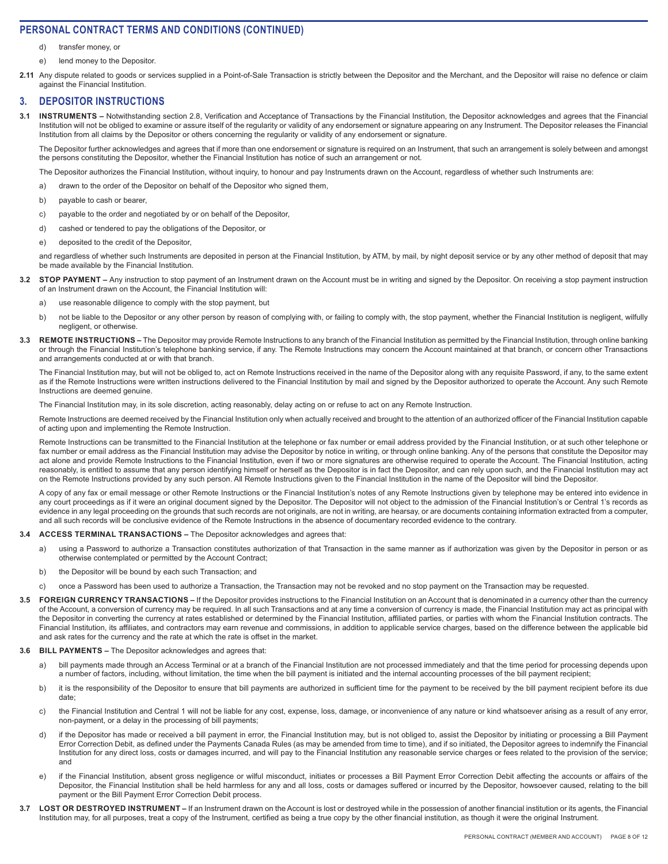- d) transfer money, or
- e) lend money to the Depositor.
- **2.11** Any dispute related to goods or services supplied in a Point-of-Sale Transaction is strictly between the Depositor and the Merchant, and the Depositor will raise no defence or claim against the Financial Institution.

### **3. DEPOSITOR INSTRUCTIONS**

**3.1 INSTRUMENTS –** Notwithstanding section 2.8, Verification and Acceptance of Transactions by the Financial Institution, the Depositor acknowledges and agrees that the Financial Institution will not be obliged to examine or assure itself of the regularity or validity of any endorsement or signature appearing on any Instrument. The Depositor releases the Financial Institution from all claims by the Depositor or others concerning the regularity or validity of any endorsement or signature.

The Depositor further acknowledges and agrees that if more than one endorsement or signature is required on an Instrument, that such an arrangement is solely between and amongst the persons constituting the Depositor, whether the Financial Institution has notice of such an arrangement or not.

The Depositor authorizes the Financial Institution, without inquiry, to honour and pay Instruments drawn on the Account, regardless of whether such Instruments are:

- a) drawn to the order of the Depositor on behalf of the Depositor who signed them,
- b) payable to cash or bearer,
- c) payable to the order and negotiated by or on behalf of the Depositor,
- d) cashed or tendered to pay the obligations of the Depositor, or
- e) deposited to the credit of the Depositor,

and regardless of whether such Instruments are deposited in person at the Financial Institution, by ATM, by mail, by night deposit service or by any other method of deposit that may be made available by the Financial Institution.

- **3.2 STOP PAYMENT** Any instruction to stop payment of an Instrument drawn on the Account must be in writing and signed by the Depositor. On receiving a stop payment instruction of an Instrument drawn on the Account, the Financial Institution will:
	- a) use reasonable diligence to comply with the stop payment, but
	- b) not be liable to the Depositor or any other person by reason of complying with, or failing to comply with, the stop payment, whether the Financial Institution is negligent, wilfully negligent, or otherwise.
- 3.3 REMOTE INSTRUCTIONS The Depositor may provide Remote Instructions to any branch of the Financial Institution as permitted by the Financial Institution, through online banking or through the Financial Institution's telephone banking service, if any. The Remote Instructions may concern the Account maintained at that branch, or concern other Transactions and arrangements conducted at or with that branch.

The Financial Institution may, but will not be obliged to, act on Remote Instructions received in the name of the Depositor along with any requisite Password, if any, to the same extent as if the Remote Instructions were written instructions delivered to the Financial Institution by mail and signed by the Depositor authorized to operate the Account. Any such Remote Instructions are deemed genuine.

The Financial Institution may, in its sole discretion, acting reasonably, delay acting on or refuse to act on any Remote Instruction.

Remote Instructions are deemed received by the Financial Institution only when actually received and brought to the attention of an authorized officer of the Financial Institution capable of acting upon and implementing the Remote Instruction.

Remote Instructions can be transmitted to the Financial Institution at the telephone or fax number or email address provided by the Financial Institution, or at such other telephone or fax number or email address as the Financial Institution may advise the Depositor by notice in writing, or through online banking. Any of the persons that constitute the Depositor may act alone and provide Remote Instructions to the Financial Institution, even if two or more signatures are otherwise required to operate the Account. The Financial Institution, acting reasonably, is entitled to assume that any person identifying himself or herself as the Depositor is in fact the Depositor, and can rely upon such, and the Financial Institution may act on the Remote Instructions provided by any such person. All Remote Instructions given to the Financial Institution in the name of the Depositor will bind the Depositor.

A copy of any fax or email message or other Remote Instructions or the Financial Institution's notes of any Remote Instructions given by telephone may be entered into evidence in any court proceedings as if it were an original document signed by the Depositor. The Depositor will not object to the admission of the Financial Institution's or Central 1's records as evidence in any legal proceeding on the grounds that such records are not originals, are not in writing, are hearsay, or are documents containing information extracted from a computer, and all such records will be conclusive evidence of the Remote Instructions in the absence of documentary recorded evidence to the contrary.

#### **3.4 ACCESS TERMINAL TRANSACTIONS –** The Depositor acknowledges and agrees that:

- a) using a Password to authorize a Transaction constitutes authorization of that Transaction in the same manner as if authorization was given by the Depositor in person or as otherwise contemplated or permitted by the Account Contract;
- b) the Depositor will be bound by each such Transaction; and
- c) once a Password has been used to authorize a Transaction, the Transaction may not be revoked and no stop payment on the Transaction may be requested.
- 3.5 FOREIGN CURRENCY TRANSACTIONS If the Depositor provides instructions to the Financial Institution on an Account that is denominated in a currency other than the currency of the Account, a conversion of currency may be required. In all such Transactions and at any time a conversion of currency is made, the Financial Institution may act as principal with the Depositor in converting the currency at rates established or determined by the Financial Institution, affiliated parties, or parties with whom the Financial Institution contracts. The Financial Institution, its affiliates, and contractors may earn revenue and commissions, in addition to applicable service charges, based on the difference between the applicable bid and ask rates for the currency and the rate at which the rate is offset in the market.

#### **3.6 BILL PAYMENTS –** The Depositor acknowledges and agrees that:

- a) bill payments made through an Access Terminal or at a branch of the Financial Institution are not processed immediately and that the time period for processing depends upon a number of factors, including, without limitation, the time when the bill payment is initiated and the internal accounting processes of the bill payment recipient;
- b) it is the responsibility of the Depositor to ensure that bill payments are authorized in sufficient time for the payment to be received by the bill payment recipient before its due date;
- c) the Financial Institution and Central 1 will not be liable for any cost, expense, loss, damage, or inconvenience of any nature or kind whatsoever arising as a result of any error, non-payment, or a delay in the processing of bill payments;
- d) if the Depositor has made or received a bill payment in error, the Financial Institution may, but is not obliged to, assist the Depositor by initiating or processing a Bill Payment Error Correction Debit, as defined under the Payments Canada Rules (as may be amended from time to time), and if so initiated, the Depositor agrees to indemnify the Financial Institution for any direct loss, costs or damages incurred, and will pay to the Financial Institution any reasonable service charges or fees related to the provision of the service; and
- e) if the Financial Institution, absent gross negligence or wilful misconduct, initiates or processes a Bill Payment Error Correction Debit affecting the accounts or affairs of the Depositor, the Financial Institution shall be held harmless for any and all loss, costs or damages suffered or incurred by the Depositor, howsoever caused, relating to the bill payment or the Bill Payment Error Correction Debit process.
- 3.7 LOST OR DESTROYED INSTRUMENT If an Instrument drawn on the Account is lost or destroyed while in the possession of another financial institution or its agents, the Financial Institution may, for all purposes, treat a copy of the Instrument, certified as being a true copy by the other financial institution, as though it were the original Instrument.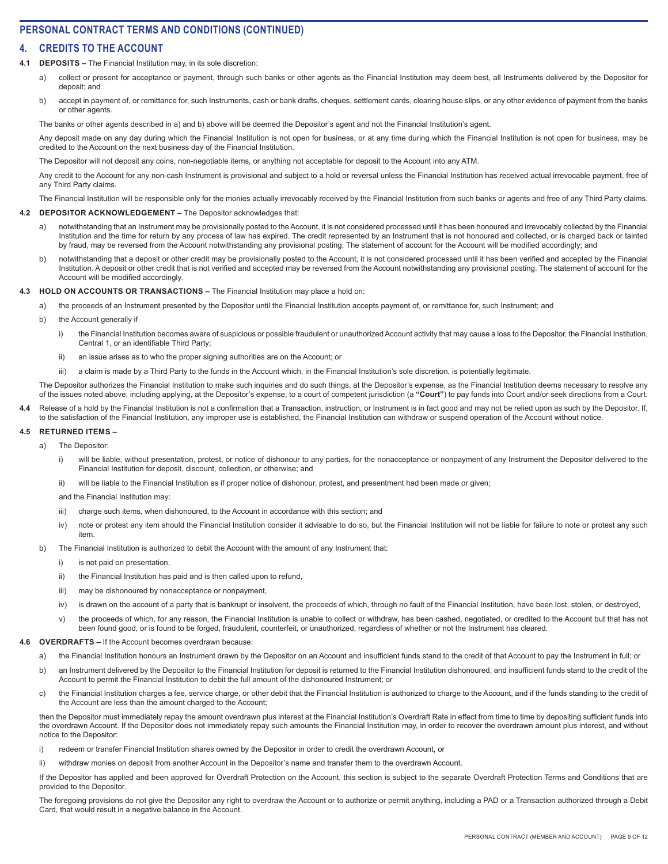## **4. CREDITS TO THE ACCOUNT**

### **4.1 DEPOSITS –** The Financial Institution may, in its sole discretion:

- a) collect or present for acceptance or payment, through such banks or other agents as the Financial Institution may deem best, all Instruments delivered by the Depositor for deposit; and
- b) accept in payment of, or remittance for, such Instruments, cash or bank drafts, cheques, settlement cards, clearing house slips, or any other evidence of payment from the banks or other agents.

The banks or other agents described in a) and b) above will be deemed the Depositor's agent and not the Financial Institution's agent.

Any deposit made on any day during which the Financial Institution is not open for business, or at any time during which the Financial Institution is not open for business, may be credited to the Account on the next business day of the Financial Institution.

The Depositor will not deposit any coins, non-negotiable items, or anything not acceptable for deposit to the Account into any ATM.

Any credit to the Account for any non-cash Instrument is provisional and subject to a hold or reversal unless the Financial Institution has received actual irrevocable payment, free of any Third Party claims.

The Financial Institution will be responsible only for the monies actually irrevocably received by the Financial Institution from such banks or agents and free of any Third Party claims.

### **4.2 DEPOSITOR ACKNOWLEDGEMENT –** The Depositor acknowledges that:

- a) notwithstanding that an Instrument may be provisionally posted to the Account, it is not considered processed until it has been honoured and irrevocably collected by the Financial Institution and the time for return by any process of law has expired. The credit represented by an Instrument that is not honoured and collected, or is charged back or tainted by fraud, may be reversed from the Account notwithstanding any provisional posting. The statement of account for the Account will be modified accordingly; and
- b) notwithstanding that a deposit or other credit may be provisionally posted to the Account, it is not considered processed until it has been verified and accepted by the Financial Institution. A deposit or other credit that is not verified and accepted may be reversed from the Account notwithstanding any provisional posting. The statement of account for the Account will be modified accordingly.

### **4.3 HOLD ON ACCOUNTS OR TRANSACTIONS –** The Financial Institution may place a hold on:

- a) the proceeds of an Instrument presented by the Depositor until the Financial Institution accepts payment of, or remittance for, such Instrument; and
- b) the Account generally if
	- i) the Financial Institution becomes aware of suspicious or possible fraudulent or unauthorized Account activity that may cause a loss to the Depositor, the Financial Institution, Central 1, or an identifiable Third Party;
	- ii) an issue arises as to who the proper signing authorities are on the Account; or
	- iii) a claim is made by a Third Party to the funds in the Account which, in the Financial Institution's sole discretion, is potentially legitimate.

The Depositor authorizes the Financial Institution to make such inquiries and do such things, at the Depositor's expense, as the Financial Institution deems necessary to resolve any of the issues noted above, including applying, at the Depositor's expense, to a court of competent jurisdiction (a **"Court"**) to pay funds into Court and/or seek directions from a Court.

Release of a hold by the Financial Institution is not a confirmation that a Transaction, instruction, or Instrument is in fact good and may not be relied upon as such by the Depositor. If, to the satisfaction of the Financial Institution, any improper use is established, the Financial Institution can withdraw or suspend operation of the Account without notice.

#### **4.5 RETURNED ITEMS –**

- a) The Depositor:
	- i) will be liable, without presentation, protest, or notice of dishonour to any parties, for the nonacceptance or nonpayment of any Instrument the Depositor delivered to the Financial Institution for deposit, discount, collection, or otherwise; and
	- ii) will be liable to the Financial Institution as if proper notice of dishonour, protest, and presentment had been made or given;

and the Financial Institution may:

- iii) charge such items, when dishonoured, to the Account in accordance with this section; and
- iv) note or protest any item should the Financial Institution consider it advisable to do so, but the Financial Institution will not be liable for failure to note or protest any such item.
- b) The Financial Institution is authorized to debit the Account with the amount of any Instrument that:
	- i) is not paid on presentation.
	- ii) the Financial Institution has paid and is then called upon to refund,
	- iii) may be dishonoured by nonacceptance or nonpayment,
	- iv) is drawn on the account of a party that is bankrupt or insolvent, the proceeds of which, through no fault of the Financial Institution, have been lost, stolen, or destroyed,
	- v) the proceeds of which, for any reason, the Financial Institution is unable to collect or withdraw, has been cashed, negotiated, or credited to the Account but that has not been found good, or is found to be forged, fraudulent, counterfeit, or unauthorized, regardless of whether or not the Instrument has cleared.

#### **4.6 OVERDRAFTS –** If the Account becomes overdrawn because:

- a) the Financial Institution honours an Instrument drawn by the Depositor on an Account and insufficient funds stand to the credit of that Account to pay the Instrument in full; or
- b) an Instrument delivered by the Depositor to the Financial Institution for deposit is returned to the Financial Institution dishonoured, and insufficient funds stand to the credit of the Account to permit the Financial Institution to debit the full amount of the dishonoured Instrument; or
- c) the Financial Institution charges a fee, service charge, or other debit that the Financial Institution is authorized to charge to the Account, and if the funds standing to the credit of the Account are less than the amount charged to the Account;

then the Depositor must immediately repay the amount overdrawn plus interest at the Financial Institution's Overdraft Rate in effect from time to time by depositing sufficient funds into the overdrawn Account. If the Depositor does not immediately repay such amounts the Financial Institution may, in order to recover the overdrawn amount plus interest, and without notice to the Depositor:

- i) redeem or transfer Financial Institution shares owned by the Depositor in order to credit the overdrawn Account, or
- ii) withdraw monies on deposit from another Account in the Depositor's name and transfer them to the overdrawn Account.

If the Depositor has applied and been approved for Overdraft Protection on the Account, this section is subject to the separate Overdraft Protection Terms and Conditions that are provided to the Depositor.

The foregoing provisions do not give the Depositor any right to overdraw the Account or to authorize or permit anything, including a PAD or a Transaction authorized through a Debit Card, that would result in a negative balance in the Account.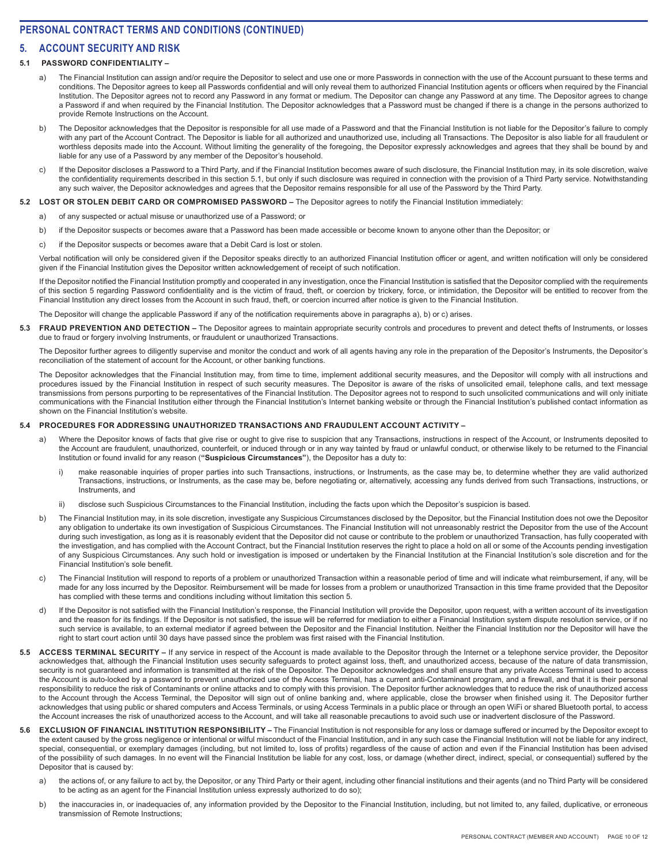## **5. ACCOUNT SECURITY AND RISK**

### **5.1 PASSWORD CONFIDENTIALITY –**

- a) The Financial Institution can assign and/or require the Depositor to select and use one or more Passwords in connection with the use of the Account pursuant to these terms and conditions. The Depositor agrees to keep all Passwords confidential and will only reveal them to authorized Financial Institution agents or officers when required by the Financial Institution. The Depositor agrees not to record any Password in any format or medium. The Depositor can change any Password at any time. The Depositor agrees to change a Password if and when required by the Financial Institution. The Depositor acknowledges that a Password must be changed if there is a change in the persons authorized to provide Remote Instructions on the Account.
- b) The Depositor acknowledges that the Depositor is responsible for all use made of a Password and that the Financial Institution is not liable for the Depositor's failure to comply with any part of the Account Contract. The Depositor is liable for all authorized and unauthorized use, including all Transactions. The Depositor is also liable for all fraudulent or worthless deposits made into the Account. Without limiting the generality of the foregoing, the Depositor expressly acknowledges and agrees that they shall be bound by and liable for any use of a Password by any member of the Depositor's household.
- c) If the Depositor discloses a Password to a Third Party, and if the Financial Institution becomes aware of such disclosure, the Financial Institution may, in its sole discretion, waive the confidentiality requirements described in this section 5.1, but only if such disclosure was required in connection with the provision of a Third Party service. Notwithstanding any such waiver, the Depositor acknowledges and agrees that the Depositor remains responsible for all use of the Password by the Third Party.

#### **5.2 LOST OR STOLEN DEBIT CARD OR COMPROMISED PASSWORD –** The Depositor agrees to notify the Financial Institution immediately:

- a) of any suspected or actual misuse or unauthorized use of a Password; or
- b) if the Depositor suspects or becomes aware that a Password has been made accessible or become known to anyone other than the Depositor; or
- c) if the Depositor suspects or becomes aware that a Debit Card is lost or stolen.

Verbal notification will only be considered given if the Depositor speaks directly to an authorized Financial Institution officer or agent, and written notification will only be considered given if the Financial Institution gives the Depositor written acknowledgement of receipt of such notification.

If the Depositor notified the Financial Institution promptly and cooperated in any investigation, once the Financial Institution is satisfied that the Depositor complied with the requirements of this section 5 regarding Password confidentiality and is the victim of fraud, theft, or coercion by trickery, force, or intimidation, the Depositor will be entitled to recover from the Financial Institution any direct losses from the Account in such fraud, theft, or coercion incurred after notice is given to the Financial Institution.

The Depositor will change the applicable Password if any of the notification requirements above in paragraphs a), b) or c) arises.

**5.3 FRAUD PREVENTION AND DETECTION –** The Depositor agrees to maintain appropriate security controls and procedures to prevent and detect thefts of Instruments, or losses due to fraud or forgery involving Instruments, or fraudulent or unauthorized Transactions.

The Depositor further agrees to diligently supervise and monitor the conduct and work of all agents having any role in the preparation of the Depositor's Instruments, the Depositor's reconciliation of the statement of account for the Account, or other banking functions.

The Depositor acknowledges that the Financial Institution may, from time to time, implement additional security measures, and the Depositor will comply with all instructions and procedures issued by the Financial Institution in respect of such security measures. The Depositor is aware of the risks of unsolicited email, telephone calls, and text message transmissions from persons purporting to be representatives of the Financial Institution. The Depositor agrees not to respond to such unsolicited communications and will only initiate communications with the Financial Institution either through the Financial Institution's Internet banking website or through the Financial Institution's published contact information as shown on the Financial Institution's website.

### **5.4 PROCEDURES FOR ADDRESSING UNAUTHORIZED TRANSACTIONS AND FRAUDULENT ACCOUNT ACTIVITY –**

- a) Where the Depositor knows of facts that give rise or ought to give rise to suspicion that any Transactions, instructions in respect of the Account, or Instruments deposited to the Account are fraudulent, unauthorized, counterfeit, or induced through or in any way tainted by fraud or unlawful conduct, or otherwise likely to be returned to the Financial Institution or found invalid for any reason (**"Suspicious Circumstances"**), the Depositor has a duty to:
	- i) make reasonable inquiries of proper parties into such Transactions, instructions, or Instruments, as the case may be, to determine whether they are valid authorized Transactions, instructions, or Instruments, as the case may be, before negotiating or, alternatively, accessing any funds derived from such Transactions, instructions, or Instruments, and
	- ii) disclose such Suspicious Circumstances to the Financial Institution, including the facts upon which the Depositor's suspicion is based.
- b) The Financial Institution may, in its sole discretion, investigate any Suspicious Circumstances disclosed by the Depositor, but the Financial Institution does not owe the Depositor any obligation to undertake its own investigation of Suspicious Circumstances. The Financial Institution will not unreasonably restrict the Depositor from the use of the Account during such investigation, as long as it is reasonably evident that the Depositor did not cause or contribute to the problem or unauthorized Transaction, has fully cooperated with the investigation, and has complied with the Account Contract, but the Financial Institution reserves the right to place a hold on all or some of the Accounts pending investigation of any Suspicious Circumstances. Any such hold or investigation is imposed or undertaken by the Financial Institution at the Financial Institution's sole discretion and for the Financial Institution's sole benefit.
- The Financial Institution will respond to reports of a problem or unauthorized Transaction within a reasonable period of time and will indicate what reimbursement, if any, will be made for any loss incurred by the Depositor. Reimbursement will be made for losses from a problem or unauthorized Transaction in this time frame provided that the Depositor has complied with these terms and conditions including without limitation this section 5.
- d) If the Depositor is not satisfied with the Financial Institution's response, the Financial Institution will provide the Depositor, upon request, with a written account of its investigation and the reason for its findings. If the Depositor is not satisfied, the issue will be referred for mediation to either a Financial Institution system dispute resolution service, or if no such service is available, to an external mediator if agreed between the Depositor and the Financial Institution. Neither the Financial Institution nor the Depositor will have the right to start court action until 30 days have passed since the problem was first raised with the Financial Institution.
- 5.5 ACCESS TERMINAL SECURITY If any service in respect of the Account is made available to the Depositor through the Internet or a telephone service provider, the Depositor acknowledges that, although the Financial Institution uses security safeguards to protect against loss, theft, and unauthorized access, because of the nature of data transmission, security is not guaranteed and information is transmitted at the risk of the Depositor. The Depositor acknowledges and shall ensure that any private Access Terminal used to access the Account is auto-locked by a password to prevent unauthorized use of the Access Terminal, has a current anti-Contaminant program, and a firewall, and that it is their personal responsibility to reduce the risk of Contaminants or online attacks and to comply with this provision. The Depositor further acknowledges that to reduce the risk of unauthorized access to the Account through the Access Terminal, the Depositor will sign out of online banking and, where applicable, close the browser when finished using it. The Depositor further acknowledges that using public or shared computers and Access Terminals, or using Access Terminals in a public place or through an open WiFi or shared Bluetooth portal, to access the Account increases the risk of unauthorized access to the Account, and will take all reasonable precautions to avoid such use or inadvertent disclosure of the Password.
- **5.6 EXCLUSION OF FINANCIAL INSTITUTION RESPONSIBILITY** The Financial Institution is not responsible for any loss or damage suffered or incurred by the Depositor except to the extent caused by the gross negligence or intentional or wilful misconduct of the Financial Institution, and in any such case the Financial Institution will not be liable for any indirect, special, consequential, or exemplary damages (including, but not limited to, loss of profits) regardless of the cause of action and even if the Financial Institution has been advised of the possibility of such damages. In no event will the Financial Institution be liable for any cost, loss, or damage (whether direct, indirect, special, or consequential) suffered by the Depositor that is caused by:
	- a) the actions of, or any failure to act by, the Depositor, or any Third Party or their agent, including other financial institutions and their agents (and no Third Party will be considered to be acting as an agent for the Financial Institution unless expressly authorized to do so);
	- b) the inaccuracies in, or inadequacies of, any information provided by the Depositor to the Financial Institution, including, but not limited to, any failed, duplicative, or erroneous transmission of Remote Instructions;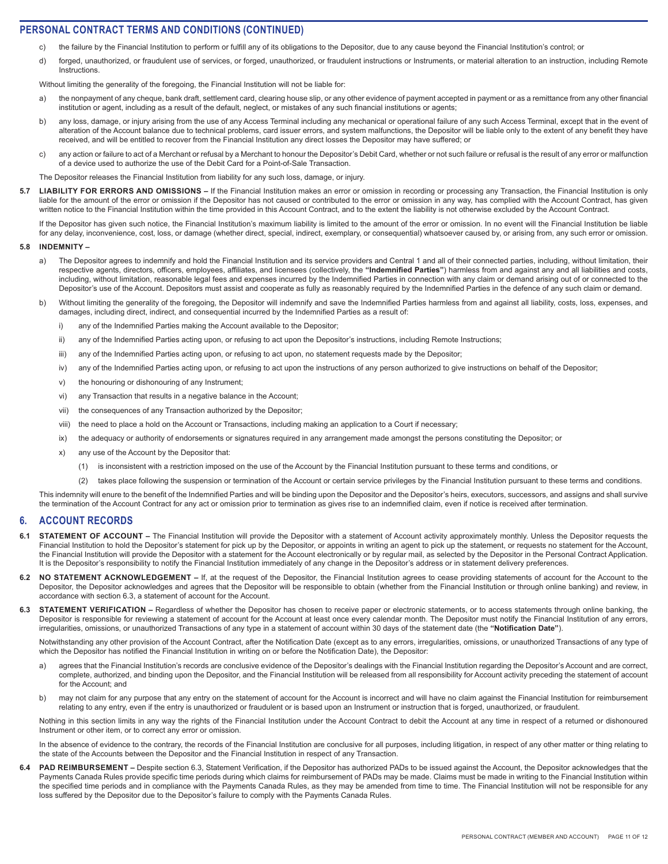- c) the failure by the Financial Institution to perform or fulfill any of its obligations to the Depositor, due to any cause beyond the Financial Institution's control; or
- d) forged, unauthorized, or fraudulent use of services, or forged, unauthorized, or fraudulent instructions or Instruments, or material alteration to an instruction, including Remote **Instructions**

Without limiting the generality of the foregoing, the Financial Institution will not be liable for:

- a) the nonpayment of any cheque, bank draft, settlement card, clearing house slip, or any other evidence of payment accepted in payment or as a remittance from any other financial institution or agent, including as a result of the default, neglect, or mistakes of any such financial institutions or agents;
- b) any loss, damage, or injury arising from the use of any Access Terminal including any mechanical or operational failure of any such Access Terminal, except that in the event of alteration of the Account balance due to technical problems, card issuer errors, and system malfunctions, the Depositor will be liable only to the extent of any benefit they have received, and will be entitled to recover from the Financial Institution any direct losses the Depositor may have suffered; or
- c) any action or failure to act of a Merchant or refusal by a Merchant to honour the Depositor's Debit Card, whether or not such failure or refusal is the result of any error or malfunction of a device used to authorize the use of the Debit Card for a Point-of-Sale Transaction.

The Depositor releases the Financial Institution from liability for any such loss, damage, or injury.

**5.7 LIABILITY FOR ERRORS AND OMISSIONS –** If the Financial Institution makes an error or omission in recording or processing any Transaction, the Financial Institution is only liable for the amount of the error or omission if the Depositor has not caused or contributed to the error or omission in any way, has complied with the Account Contract, has given written notice to the Financial Institution within the time provided in this Account Contract, and to the extent the liability is not otherwise excluded by the Account Contract.

If the Depositor has given such notice, the Financial Institution's maximum liability is limited to the amount of the error or omission. In no event will the Financial Institution be liable for any delay, inconvenience, cost, loss, or damage (whether direct, special, indirect, exemplary, or consequential) whatsoever caused by, or arising from, any such error or omission.

#### **5.8 INDEMNITY –**

- a) The Depositor agrees to indemnify and hold the Financial Institution and its service providers and Central 1 and all of their connected parties, including, without limitation, their respective agents, directors, officers, employees, affiliates, and licensees (collectively, the **"Indemnified Parties"**) harmless from and against any and all liabilities and costs, including, without limitation, reasonable legal fees and expenses incurred by the Indemnified Parties in connection with any claim or demand arising out of or connected to the Depositor's use of the Account. Depositors must assist and cooperate as fully as reasonably required by the Indemnified Parties in the defence of any such claim or demand.
- b) Without limiting the generality of the foregoing, the Depositor will indemnify and save the Indemnified Parties harmless from and against all liability, costs, loss, expenses, and damages, including direct, indirect, and consequential incurred by the Indemnified Parties as a result of:
	- i) any of the Indemnified Parties making the Account available to the Depositor;
	- ii) any of the Indemnified Parties acting upon, or refusing to act upon the Depositor's instructions, including Remote Instructions;
	- iii) any of the Indemnified Parties acting upon, or refusing to act upon, no statement requests made by the Depositor;
	- iv) any of the Indemnified Parties acting upon, or refusing to act upon the instructions of any person authorized to give instructions on behalf of the Depositor;
	- v) the honouring or dishonouring of any Instrument;
	- vi) any Transaction that results in a negative balance in the Account;
	- vii) the consequences of any Transaction authorized by the Depositor;
	- viii) the need to place a hold on the Account or Transactions, including making an application to a Court if necessary;
	- ix) the adequacy or authority of endorsements or signatures required in any arrangement made amongst the persons constituting the Depositor; or
	- x) any use of the Account by the Depositor that:
		- (1) is inconsistent with a restriction imposed on the use of the Account by the Financial Institution pursuant to these terms and conditions, or
		- (2) takes place following the suspension or termination of the Account or certain service privileges by the Financial Institution pursuant to these terms and conditions.

This indemnity will enure to the benefit of the Indemnified Parties and will be binding upon the Depositor and the Depositor's heirs, executors, successors, and assigns and shall survive the termination of the Account Contract for any act or omission prior to termination as gives rise to an indemnified claim, even if notice is received after termination.

#### **6. ACCOUNT RECORDS**

- **6.1 STATEMENT OF ACCOUNT** The Financial Institution will provide the Depositor with a statement of Account activity approximately monthly. Unless the Depositor requests the Financial Institution to hold the Depositor's statement for pick up by the Depositor, or appoints in writing an agent to pick up the statement, or requests no statement for the Account, the Financial Institution will provide the Depositor with a statement for the Account electronically or by regular mail, as selected by the Depositor in the Personal Contract Application. It is the Depositor's responsibility to notify the Financial Institution immediately of any change in the Depositor's address or in statement delivery preferences.
- **6.2 NO STATEMENT ACKNOWLEDGEMENT** If, at the request of the Depositor, the Financial Institution agrees to cease providing statements of account for the Account to the Depositor, the Depositor acknowledges and agrees that the Depositor will be responsible to obtain (whether from the Financial Institution or through online banking) and review, in accordance with section 6.3, a statement of account for the Account.
- **STATEMENT VERIFICATION –** Regardless of whether the Depositor has chosen to receive paper or electronic statements, or to access statements through online banking, the Depositor is responsible for reviewing a statement of account for the Account at least once every calendar month. The Depositor must notify the Financial Institution of any errors, irregularities, omissions, or unauthorized Transactions of any type in a statement of account within 30 days of the statement date (the **"Notification Date"**).

Notwithstanding any other provision of the Account Contract, after the Notification Date (except as to any errors, irregularities, omissions, or unauthorized Transactions of any type of which the Depositor has notified the Financial Institution in writing on or before the Notification Date), the Depositor:

- a) agrees that the Financial Institution's records are conclusive evidence of the Depositor's dealings with the Financial Institution regarding the Depositor's Account and are correct, complete, authorized, and binding upon the Depositor, and the Financial Institution will be released from all responsibility for Account activity preceding the statement of account for the Account; and
- b) may not claim for any purpose that any entry on the statement of account for the Account is incorrect and will have no claim against the Financial Institution for reimbursement relating to any entry, even if the entry is unauthorized or fraudulent or is based upon an Instrument or instruction that is forged, unauthorized, or fraudulent.

Nothing in this section limits in any way the rights of the Financial Institution under the Account Contract to debit the Account at any time in respect of a returned or dishonoured Instrument or other item, or to correct any error or omission.

In the absence of evidence to the contrary, the records of the Financial Institution are conclusive for all purposes, including litigation, in respect of any other matter or thing relating to the state of the Accounts between the Depositor and the Financial Institution in respect of any Transaction.

PAD REIMBURSEMENT – Despite section 6.3, Statement Verification, if the Depositor has authorized PADs to be issued against the Account, the Depositor acknowledges that the Payments Canada Rules provide specific time periods during which claims for reimbursement of PADs may be made. Claims must be made in writing to the Financial Institution within the specified time periods and in compliance with the Payments Canada Rules, as they may be amended from time to time. The Financial Institution will not be responsible for any loss suffered by the Depositor due to the Depositor's failure to comply with the Payments Canada Rules.